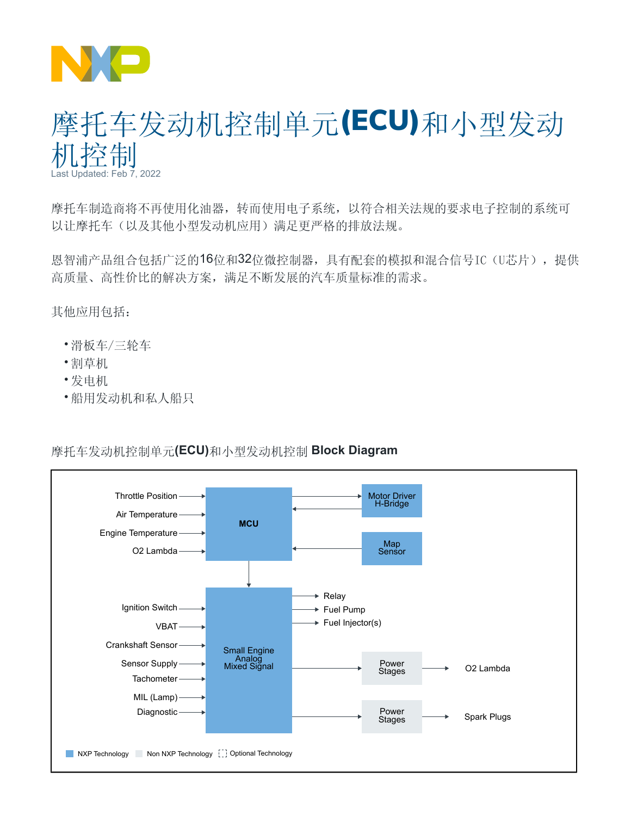

## 摩托车发动机控制单元(ECU)和小型发动 机控制 Last Updated: Feb 7, 2022

摩托车制造商将不再使用化油器,转而使用电子系统,以符合相关法规的要求电子控制的系统可 以让摩托车(以及其他小型发动机应用)满足更严格的排放法规。

恩智浦产品组合包括广泛的16位和32位微控制器,具有配套的模拟和混合信号IC(U芯片),提供 高质量、高性价比的解决方案,满足不断发展的汽车质量标准的需求。

其他应用包括:

- 滑板车/三轮车
- 割草机
- 发电机
- 船用发动机和私人船只

## 摩托车发动机控制单元**(ECU)**和小型发动机控制 **Block Diagram**